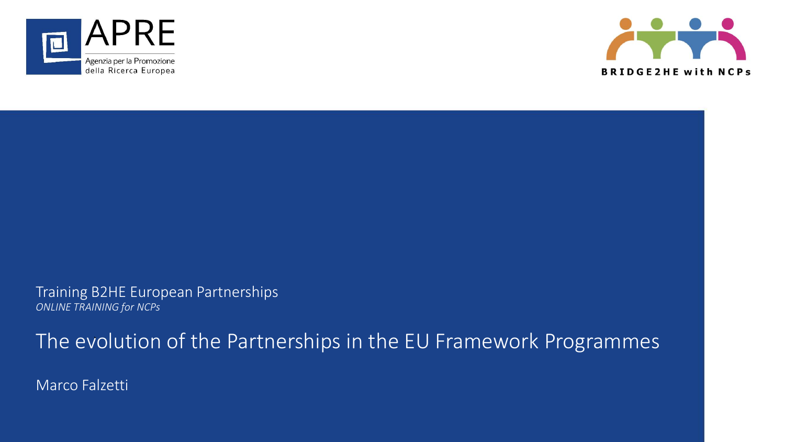



Training B2HE European Partnerships *ONLINE TRAINING for NCPs*

The evolution of the Partnerships in the EU Framework Programmes

Marco Falzetti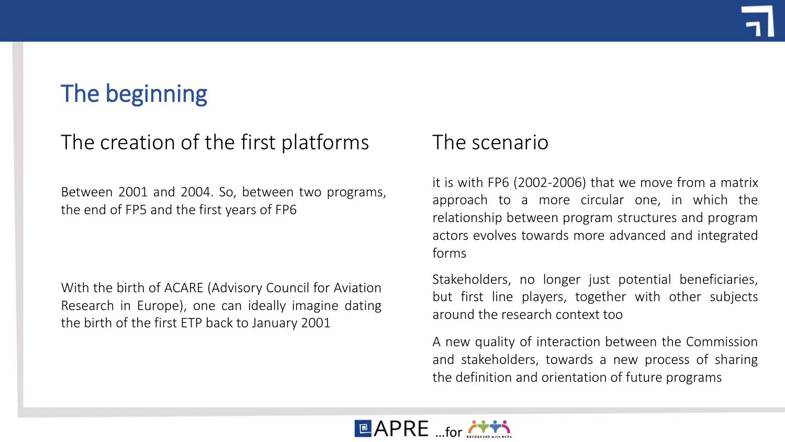# The beginning

### The creation of the first platforms

Between 2001 and 2004. So, between two programs, the end of FP5 and the first years of FP6

With the birth of ACARE (Advisory Council for Aviation Research in Europe), one can ideally imagine dating the birth of the first ETP back to January 2001

### The scenario

it is with FP6 (2002-2006) that we move from a matrix approach to a more circular one, in which the relationship between program structures and program actors evolves towards more advanced and integrated forms

Stakeholders, no longer just potential beneficiaries, but first line players, together with other subjects around the research context too

A new quality of interaction between the Commission and stakeholders, towards a new process of sharing the definition and orientation of future programs

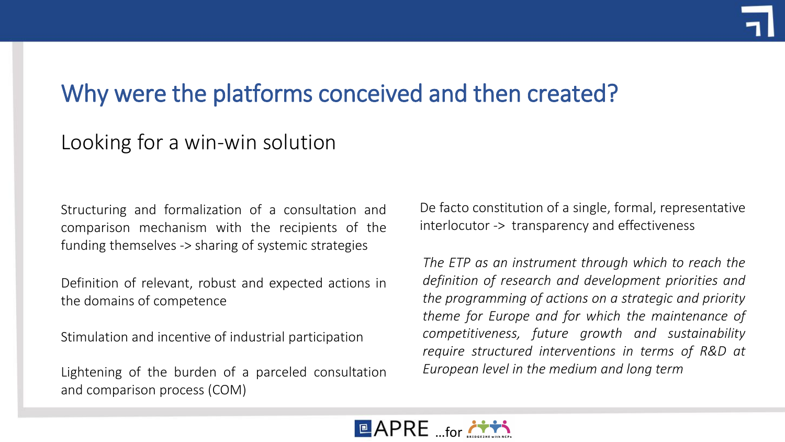## Why were the platforms conceived and then created?

### Looking for a win-win solution

Structuring and formalization of a consultation and comparison mechanism with the recipients of the funding themselves -> sharing of systemic strategies

Definition of relevant, robust and expected actions in the domains of competence

Stimulation and incentive of industrial participation

Lightening of the burden of a parceled consultation and comparison process (COM)

De facto constitution of a single, formal, representative interlocutor -> transparency and effectiveness

*The ETP as an instrument through which to reach the definition of research and development priorities and the programming of actions on a strategic and priority theme for Europe and for which the maintenance of competitiveness, future growth and sustainability require structured interventions in terms of R&D at European level in the medium and long term*

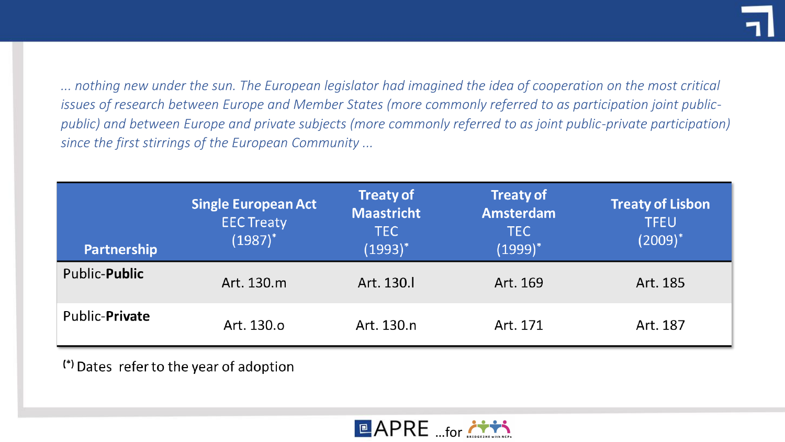*... nothing new under the sun. The European legislator had imagined the idea of cooperation on the most critical issues of research between Europe and Member States (more commonly referred to as participation joint publicpublic) and between Europe and private subjects (more commonly referred to as joint public-private participation) since the first stirrings of the European Community ...*

| <b>Partnership</b>    | <b>Single European Act</b><br><b>EEC Treaty</b><br>$(1987)^*$ | <b>Treaty of</b><br><b>Maastricht</b><br><b>TEC</b><br>$(1993)^*$ | <b>Treaty of</b><br><b>Amsterdam</b><br><b>TEC</b><br>$(1999)^*$ | <b>Treaty of Lisbon</b><br><b>TFEU</b><br>$(2009)^*$ |
|-----------------------|---------------------------------------------------------------|-------------------------------------------------------------------|------------------------------------------------------------------|------------------------------------------------------|
| Public- <b>Public</b> | Art. 130.m                                                    | Art. 130.                                                         | Art. 169                                                         | Art. 185                                             |
| Public-Private        | Art. 130.o                                                    | Art. 130.n                                                        | Art. 171                                                         | Art. 187                                             |

(\*) Dates refer to the year of adoption

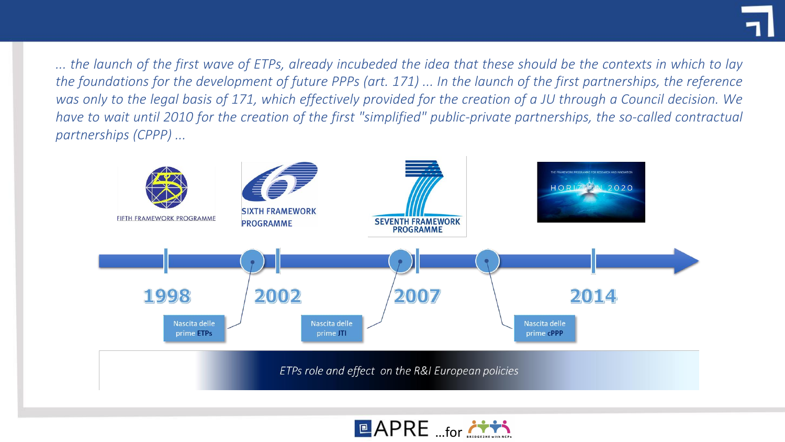... the launch of the first wave of ETPs, already incubeded the idea that these should be the contexts in which to lay the foundations for the development of future PPPs (art. 171) ... In the launch of the first partnerships, the reference was only to the legal basis of 171, which effectively provided for the creation of a JU through a Council decision. We have to wait until 2010 for the creation of the first "simplified" public-private partnerships, the so-called contractual *partnerships (CPPP) ...*



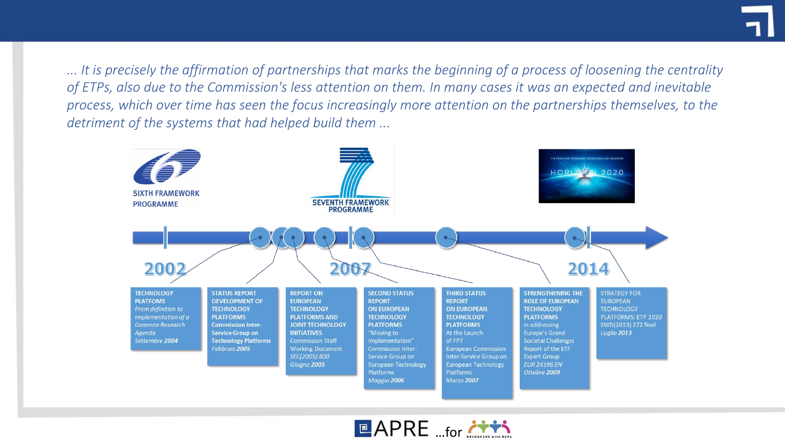*... It is precisely the affirmation of partnerships that marks the beginning of a process of loosening the centrality of ETPs, also due to the Commission's less attention on them. In many cases it was an expected and inevitable process, which over time has seen the focus increasingly more attention on the partnerships themselves, to the detriment of the systems that had helped build them ...*